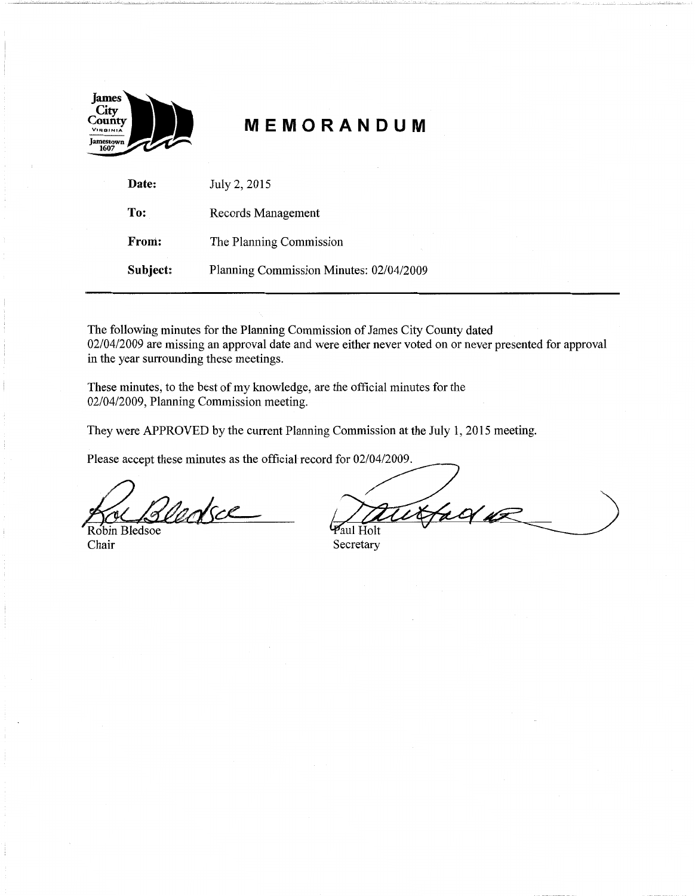

# **MEMORANDUM**

| Date:    | July 2, 2015                            |
|----------|-----------------------------------------|
| To:      | Records Management                      |
| From:    | The Planning Commission                 |
| Subject: | Planning Commission Minutes: 02/04/2009 |

The following minutes for the Planning Commission of James City County dated 02/04/2009 are missing an approval date and were either never voted on or never presented for approval in the year surrounding these meetings.

These minutes, to the best of my knowledge, are the official minutes for the 02/04/2009, Planning Commission meeting.

They were APPROVED by the current Planning Commission at the July 1, 2015 meeting.

Please accept these minutes as the official record for 02/04/2009.

Tarkce Robin Bledsoe

Chair Secretary

 $40/42$ **Paul Holt**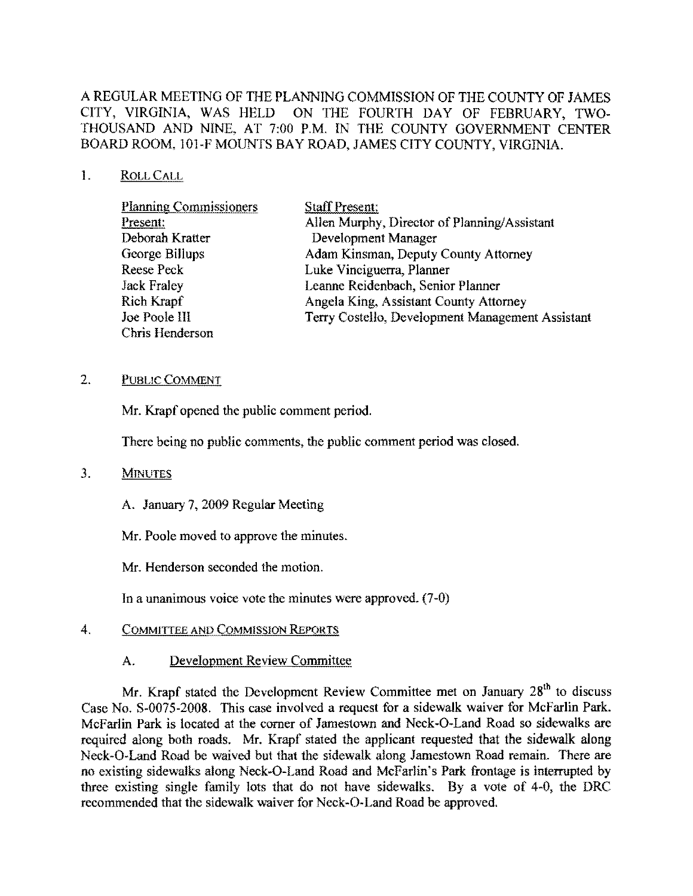# A REGULAR MEETING OF THE PLANNING COMMISSION OF THE COUNTY OF JAMES CITY, VIRGINIA, WAS HELD ON THE FOURTH DAY OF FEBRUARY, TWO-THOUSAND AND NINE, AT *7:00* P.M. IN THE COUNTY GOVERNMENT CENTER BOARD ROOM, 101-F MOUNTS BAY ROAD, JAMES CITY COUNTY, VIRGINIA.

## 1. ROLLCALL

| <b>Planning Commissioners</b> | <b>Staff Present:</b>                            |
|-------------------------------|--------------------------------------------------|
| Present:                      | Allen Murphy, Director of Planning/Assistant     |
| Deborah Kratter               | Development Manager                              |
| George Billups                | Adam Kinsman, Deputy County Attorney             |
| Reese Peck                    | Luke Vinciguerra, Planner                        |
| <b>Jack Fraley</b>            | Leanne Reidenbach, Senior Planner                |
| Rich Krapf                    | Angela King, Assistant County Attorney           |
| Joe Poole III                 | Terry Costello, Development Management Assistant |
| Chris Henderson               |                                                  |

#### 2. PUBLIC COMMENT

Mr. Krapf opened the public comment period.

There being no public comments, the public comment period was closed.

## 3. MINUTES

A. January 7, *2009* Regular Meeting

Mr. Poole moved to approve the minutes.

Mr. Henderson seconded the motion.

In a unanimous voice vote the minutes were approved. (7-0)

## 4. COMMITTEE AND COMMISSION REpORTS

# A. Development Reyiew Committee

Mr. Krapf stated the Development Review Committee met on January 28<sup>th</sup> to discuss Case No. S-0075-2008. This case involved a request for a sidewalk waiver for McFarlin Park. McFarlin Park is located at the corner of Jamestown and Neck-O-Land Road so sidewalks are required along both roads. Mr. Krapf stated the applicant requested that the sidewalk along Neck-O-Land Road be waived but that the sidewalk along Jamestown Road remain. There are no existing sidewalks along Neck-O-Land Road and McFarlin's Park frontage is interrupted by three existing single family lots that do not have sidewalks. By a vote of 4-0, the DRC recommended that the sidewalk waiver for Neck-O-Land Road be approved.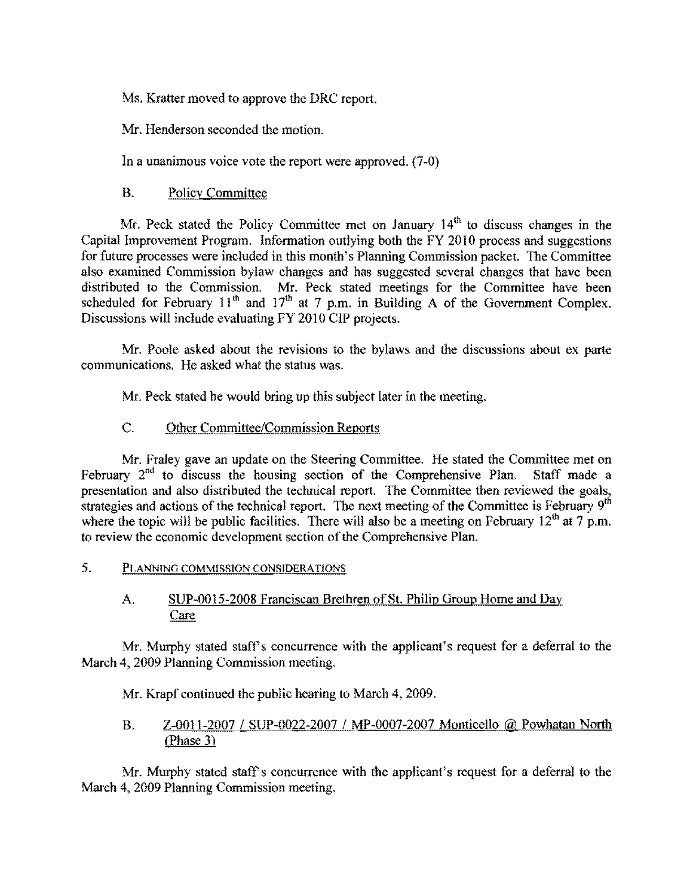Ms. Kratter moved to approve the DRC report.

Mr. Henderson seeonded the motion.

In a unanimous voice vote the report were approved. (7-0)

# B. Policy Committee

Mr. Peck stated the Policy Committee met on January  $14<sup>th</sup>$  to discuss changes in the Capital Improvement Program. Information outlying both the FY 20!O process and suggestions for future processes were included in this month's Planning Commission packet. The Committee also examined Commission bylaw changes and has suggested several changes that havc been distributed to the Commission. Mr. Peck stated meetings for the Committee have been scheduled for February 11<sup>th</sup> and 17<sup>th</sup> at 7 p.m. in Building A of the Government Complex. Discussions will include evaluating FY 2010 CIP projects.

Mr. Poole asked about the revisions to the bylaws and the discussions about ex parte communications. He asked what the status was.

Mr. Peck stated he would bring up this subject later in the meeting.

## C. Other Committee/Commission Reports

Mr. Fraley gave an update on the Steering Committee. He stated the Committee met on February  $2^{nd}$  to discuss the housing section of the Comprehensive Plan. Staff made a presentation and also distributed the technical report. The Committee then reviewed the goals, strategies and actions of the technical report. The next meeting of the Committee is February  $9<sup>th</sup>$ where the topic will be public facilities. There will also be a meeting on February  $12<sup>th</sup>$  at 7 p.m. to review the economic development section of the Comprehensive Plan.

5. PLANNING COMMISSION CONSIDERATIONS

## A. SUP-0015-2008 Franciscan Brethren of St. Philip Group Home and Day **Care**

Mr. Murphy stated staff's concurrence with the applicant's request for a deferral to the March 4, 2009 Planning Commission meeting.

Mr. Krapf continued the public hearing to March 4, 2009.

# B. Z-0011-20071 SUP-0022-2007 1 MP-0007-2007 Monticello @ Powhatan North (Phase 3)

Mr. Murphy stated staff's concurrence with the applicant's request for a deferral to the March 4, 2009 Planning Commission meeting.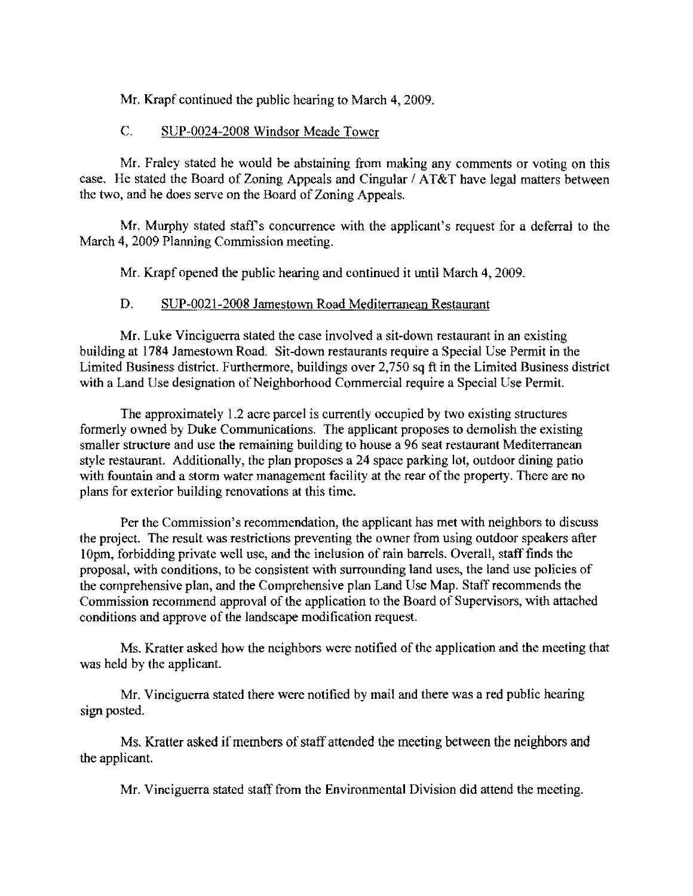Mr. Krapf continued the public hearing to March **4,** 2009.

# C. SUP-0024-2008 Windsor Meade Tower

Mr. Fraley stated he would be abstaining from making any comments or voting on this case. He stated the Board of Zoning Appeals and Cingular / AT&T have legal matters between the two, and he does serve on the Board of Zoning Appeals.

Mr. Murphy stated staff's concurrence with the applicant's request for a deferral to the March **4,** 2009 Planning Commission meeting.

Mr. Krapf opened the public hearing and continued it until March **4,** 2009.

# D. SUP-0021-2oo8 Jamestown Road Mediterranean Restaurant

Mr. Luke Vinciguerra stated the case involved a sit-down restaurant in an existing building at 1784 Jamestown Road. Sit-down restaurants require a Special Use Permit in the Limited Business district. Furthermore, buildings over 2,750 sq ft in the Limited Business district with a Land Use designation of Neighborhood Commercial require a Special Use Permit.

The approximately 1.2 acre parcel is currently occupied by two existing structures formerly owned by Duke Communications. The applicant proposes to demolish the existing smaller structure and use the remaining building to house a 96 seat restaurant Mediterranean style restaurant. Additionally, the plan proposes a 24 space parking lot, outdoor dining patio with fountain and a storm water management facility at the rear of the property. There are no plans for exterior building renovations at this time.

Per the Commission's recommendation, the applicant has met with neighbors to discuss the project. The result was restrictions preventing the owner from using outdoor speakers after lOpm, forbidding private well use, and the inclusion ofrain barrels. Overall, staff fmds the proposal, with conditions, to be consistent with surrounding land uses, the land use policies of the comprehensive plan, and the Comprehensive plan Land Usc Map. Staff recommends the Commission recommend approval of the application to the Board of Supervisors, with attached conditions and approve of the landscape modification request.

Ms. Kratter asked how the neighbors were notified of the application and the meeting that was held by the applicant.

Mr. Vinciguerra stated there were notified by mail and there was a red public hearing sign posted.

Ms. Kratter asked if members of staff attended the meeting between the neighbors and the applicant.

Mr. Vinciguerra stated staff from the Environmental Division did attend the meeting.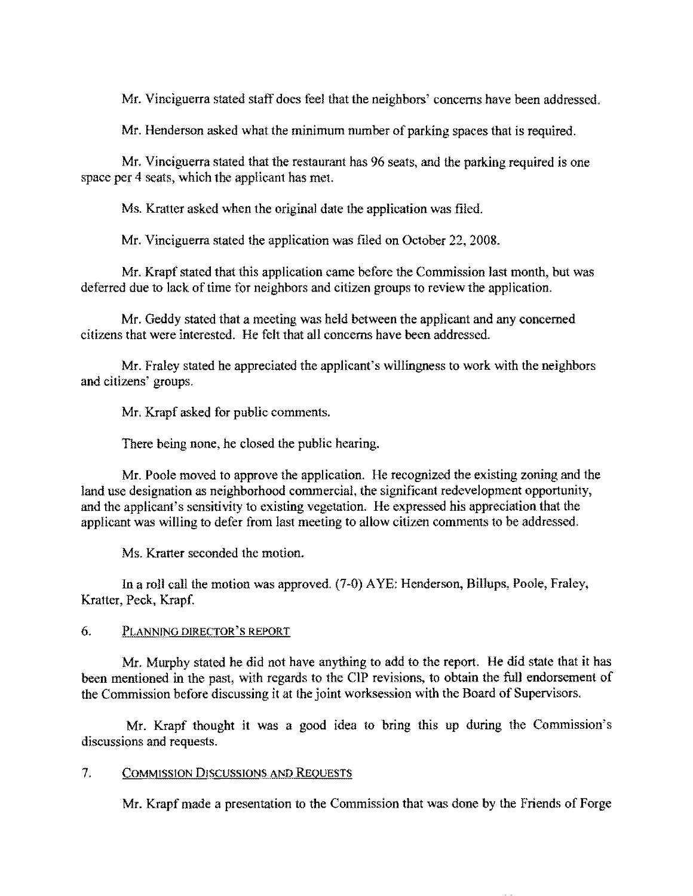Mr. Vinciguerra stated staff does feel that the neighbors' concerns have been addressed.

Mr. Henderson asked what the minimum number of parking spaces that is required.

Mr. Vinciguerra stated that the restaurant has 96 seats, and the parking required is one space per 4 seats, which the applieant has met.

Ms. Kratter asked when the original date the application was filed.

Mr. Vinciguerra stated the application was filed on October 22, 2008.

Mr. Krapf stated that this application came before the Commission last month, but was deferred due to lack of time for neighbors and citizen groups to review the application.

Mr. Geddy statcd that a meeting was held between the applicant and any concerned citizens that were interested. He felt that all concerns have been addressed.

Mr. Fraley stated he appreciated the applicant's willingness to work with the neighbors and citizens' groups.

Mr. Krapf asked for public comments.

There being none, he closed the public hearing.

Mr. Poole moved to approve the application. He recognized the existing zoning and the land use designation as neighborhood commercial, the significant redevelopment opportunity, and the applieant's sensitivity to existing vegetation. He expressed his appreciation that the applicant was willing to defer from last meeting to allow citizen comments 10 be addressed.

Ms. Kratter seconded the motion.

In a roll call the motion was approved. (7-0) AYE: Henderson, Billups, Poole, Fraley, Kratter, Peck, Krapf.

#### 6. PLANNING DIRECTOR'S REPORT

Mr. Murphy stated he did not have anything to add to the report. He did state that it has been mentioned in the past, with regards to the CIP revisions, to obtain the full endorsement of the Commission before discussing it at the joint worksession with the Board of Supervisors.

Mr. Krapf thought it was a good idea to bring this up during the Commission's discussions and requests.

#### 7. COMMISSION DISCUSSIONS AND REQUESTS

Mr. Krapf made a presentation to the Commission that was done by the Friends of Forge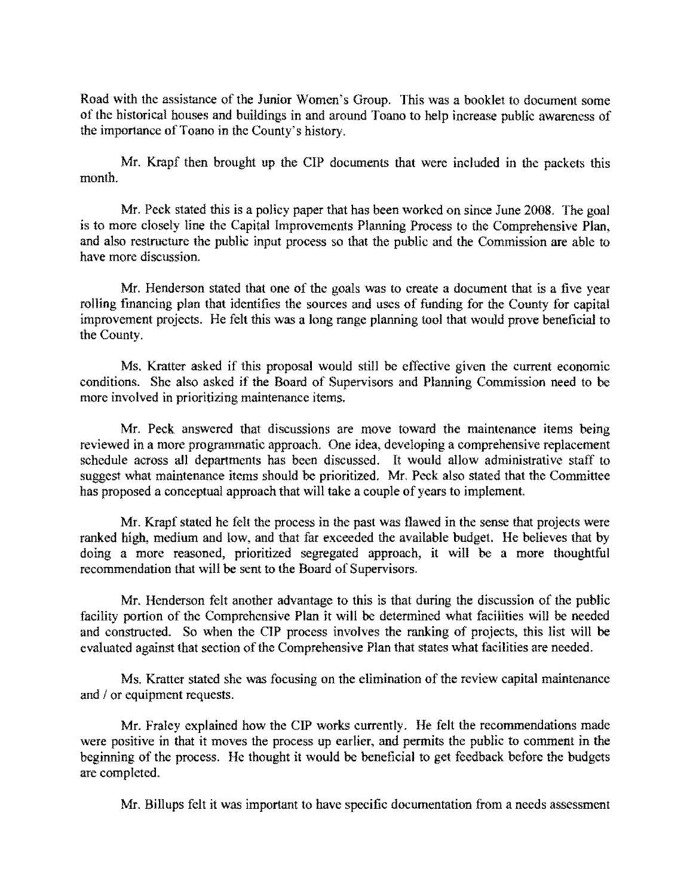Road with the assistance of the Junior Women's Group. This was a booklet to document some of the historical houses and buildings in and around Toano to help increase public awareness of the importance of Toano in the County's history.

Mr. Krapf then brought up the CIP documents that were included in the packets this month.

Mr. Peck stated this is a policy paper that has been worked on since June 2008. The goal is to more closely line the Capital Improvements Planning Process to the Comprehensive Plan, and also restructure the public input process so that the public and the Commission are able to have more discussion.

Mr. Henderson stated that one of the goals was to create a doeument that is a five year rolling financing plan that identifies the sources and uses of funding for the County for capital improvement projects. He felt this was a long range planning tool that would prove beneficial to the County.

Ms. Kratter asked if this proposal would still be effective given the current economic conditions. She also asked if the Board of Supervisors and Planning Commission need to be more involved in prioritizing maintenance items.

Mr. Peck answered that discussions are move toward the maintenance items being reviewed in a more programmatic approach. One idea, developing a comprehensive replacement schedule across all departments has been discussed. It would allow administrative staff to suggest what maintenance items should be prioritized. Mr. Peck also stated that the Committee has proposed a conceptual approach that will take a couple of years to implement.

Mr. Krapf stated he felt the process in the past was flawed in the sense that projects were ranked high, medium and low, and that far exceeded the available budget. He believes that by doing a more reasoned, prioritized segregated approach, it will be a more thoughtful recommendation that will be sent to the Board of Supervisors.

Mr. Henderson felt another advantage to this is that during the discussion of the public facility portion of the Comprehensive Plan it will be determined what facilities will be needed and constructed. So when the CIP process involves the ranking of projects, this list will be evaluated against that section of the Comprehensive Plan that states what facilities are needed.

Ms. Kratter stated she was focusing on the elimination of the review capital maintenance and / or equipment requests.

Mr. Fraley explained how the CIP works currently. He felt the recommendations made were positive in that it moves the process up earlier, and permits the public to comment in the beginning of the process. He thought it would be beneficial to get feedback before the budgets are completed.

Mr. Billups felt it was important to have specific documentation from a needs assessment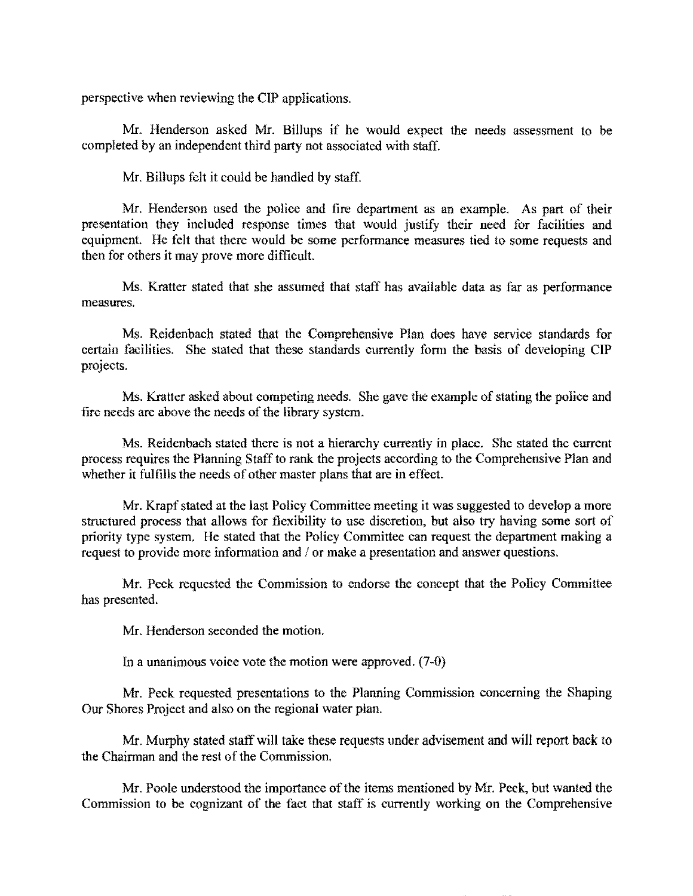perspective when reviewing the CIP applications.

Mr. Henderson asked Mr. Billups if he would expect the needs assessment to be completed by an independent third party not associated with staff.

Mr. Billups felt it could be handled by staff.

Mr. Henderson used the police and fire department as an cxample. As part of their presentation they included response times that would justify their need for facilities and equipment. He felt that there would be some performance measures tied to some requests and then for others it may prove more difficult.

Ms. Kratter stated that she assumed that staff has available data as far as performance measures.

Ms. Reidenbach stated that the Comprehensive Plan does have service standards for certain facilities. She stated that these standards currently form the basis of developing CIP projects.

Ms. Kratter asked about competing needs. She gave the example of stating the police and fire needs are above the needs of the library system.

Ms. Reidenbach stated there is not a hierarchy currently in place. She stated the current process requires the Planning Staff to rank the projects according to the Comprehensive Plan and whether it fulfills the needs of other master plans that are in effect.

Mr. Krapf stated at the last Policy Committee meeting it was suggested to develop a more structured process that allows for flexibility to use discretion, but also try having some sort of priority type system. He stated that the Policy Committee can request the department making a request to provide more information and / or make a presentation and answer questions.

Mr. Peck requested the Commission to endorse the concept that the Policy Committee has presented.

Mr. Henderson seconded the motion.

In a unanimous voice vote the motion were approved. (7-0)

Mr. Peck requested presentations to the Planning Commission concerning the Shaping Our Shores Project and also on the regional water plan.

Mr. Murphy stated staff will take these requests under advisement and will report back to the Chairman and the rest of the Commission.

Mr. Poole understood the importance of the items mentioned by Mr. Peck, but wanted the Commission to be cognizant of the fact that staff is currently working on the Comprehensive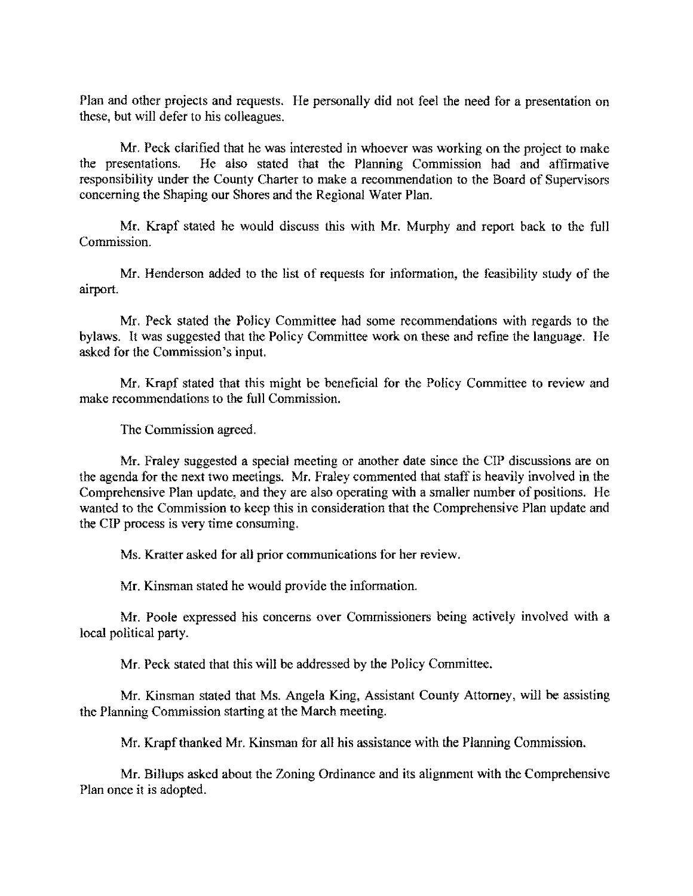Plan and other projects and requests. He personally did not feel the need for a presentation on these, but will defer to his colleagues.

Mr. Peck clarified that he was interested in whoever was working on the project to make the presentations. He also stated that the Planning Commission had and affirmative responsibility under the County Charter to make a reeommendation to the Board of Supervisors concerning the Shaping our Shores and the Regional Water Plan.

Mr. Krapf stated he would discuss this with Mr. Murphy and report back to the full Commission.

Mr. Henderson added to the list of requests for information, the feasibility study of the airport.

Mr. Peck stated the Policy Committee had some recommendations with regards to the bylaws. It was suggested that the Policy Committee work on these and refine the language. He asked for the Commission's input.

Mr. Krapf stated that this might be beneficial for the Policy Committee to review and make recommendations to the full Commission.

The Commission agreed.

Mr. Fraley suggested a special meeting or another date since the CIP discussions are on the agenda for the next two meetings. Mr. Fraley commented that staff is heavily involved in the Comprehensive Plan update, and they are also operating with a smaller number of positions. He wanted to the Commission to keep this in consideration that the Comprehensive Plan update and the CIP process is very time consuming.

Ms. Kratter asked for all prior communications for her review.

Mr. Kinsman stated he would provide the information.

Mr. Poole expressed his concerns over Commissioners being actively involved with a local political party.

Mr. Peck stated that this will be addressed by the Policy Committee.

Mr. Kinsman stated that Ms. Angela King, Assistant County Attorney, will be assisting the Planning Commission starting at the March meeting.

Mr. Krapf thanked Mr. Kinsman for all his assistance with the Planning Commission.

Mr. Billups asked about the Zoning Ordinance and its alignment with the Comprehensive Plan once it is adopted.